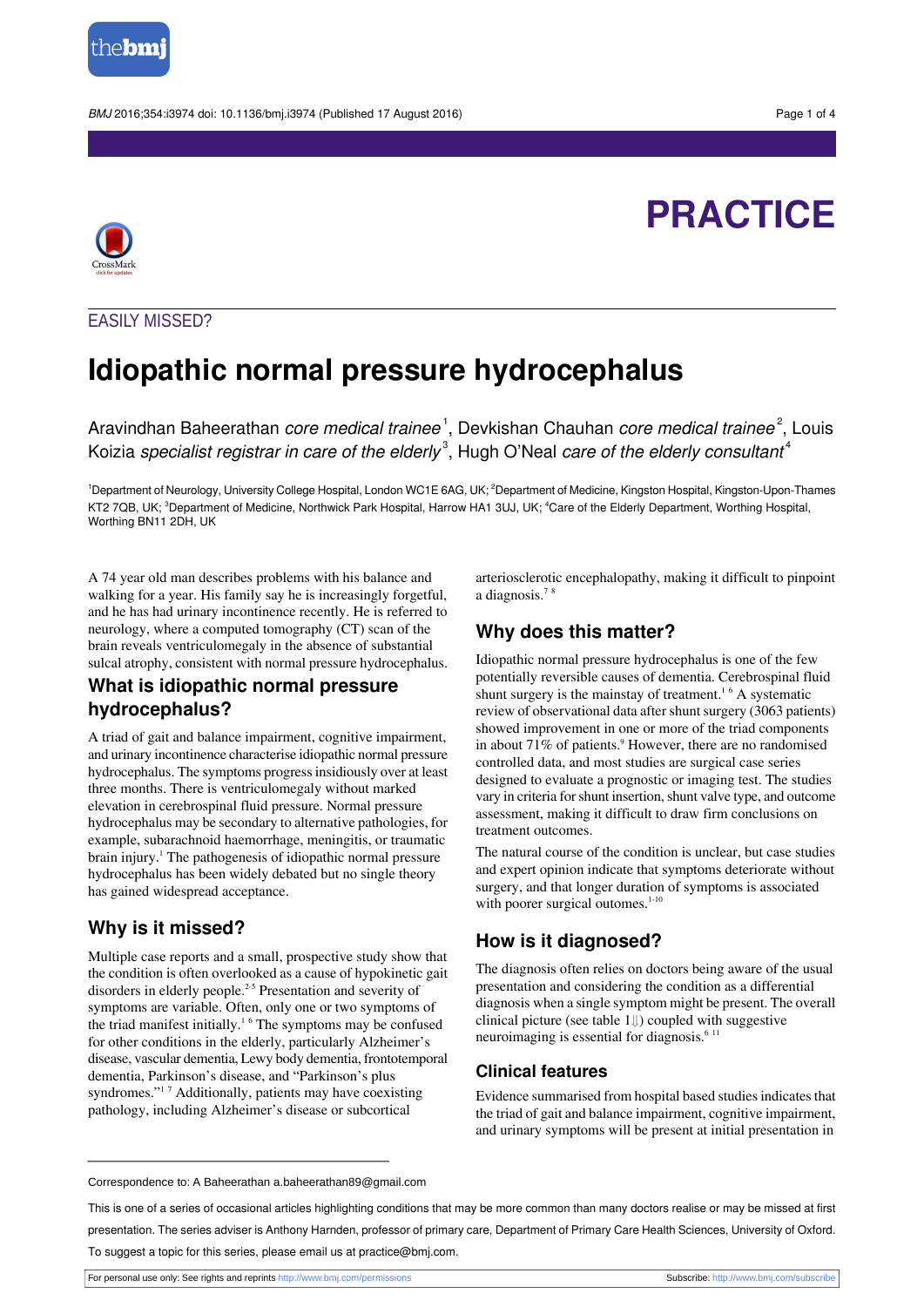

BMJ 2016:354:i3974 doi: 10.1136/bmi.i3974 (Published 17 August 2016) Page 1 of 4

# **PRACTICE**



## EASILY MISSED?

## **Idiopathic normal pressure hydrocephalus**

Aravindhan Baheerathan *core medical trainee* <sup>1</sup>, Devkishan Chauhan *core medical trainee*  $^2$ , Louis Koizia specialist registrar in care of the elderly $^{\rm 3}$ , Hugh O'Neal care of the elderly consultant $^{\rm 4}$ 

<sup>1</sup>Department of Neurology, University College Hospital, London WC1E 6AG, UK; <sup>2</sup>Department of Medicine, Kingston Hospital, Kingston-Upon-Thames KT2 7QB, UK; <sup>3</sup>Department of Medicine, Northwick Park Hospital, Harrow HA1 3UJ, UK; <sup>4</sup>Care of the Elderly Department, Worthing Hospital, Worthing BN11 2DH, UK

A 74 year old man describes problems with his balance and walking for a year. His family say he is increasingly forgetful, and he has had urinary incontinence recently. He is referred to neurology, where a computed tomography (CT) scan of the brain reveals ventriculomegaly in the absence of substantial sulcal atrophy, consistent with normal pressure hydrocephalus.

## **What is idiopathic normal pressure hydrocephalus?**

A triad of gait and balance impairment, cognitive impairment, and urinary incontinence characterise idiopathic normal pressure hydrocephalus. The symptoms progressinsidiously over at least three months. There is ventriculomegaly without marked elevation in cerebrospinal fluid pressure. Normal pressure hydrocephalus may be secondary to alternative pathologies, for example, subarachnoid haemorrhage, meningitis, or traumatic brain injury.<sup>1</sup> The pathogenesis of idiopathic normal pressure hydrocephalus has been widely debated but no single theory has gained widespread acceptance.

## **Why is it missed?**

Multiple case reports and a small, prospective study show that the condition is often overlooked as a cause of hypokinetic gait disorders in elderly people.<sup>2-5</sup> Presentation and severity of symptoms are variable. Often, only one or two symptoms of the triad manifest initially.<sup>16</sup> The symptoms may be confused for other conditions in the elderly, particularly Alzheimer's disease, vascular dementia, Lewy body dementia, frontotemporal dementia, Parkinson's disease, and "Parkinson's plus syndromes."<sup>17</sup> Additionally, patients may have coexisting pathology, including Alzheimer's disease or subcortical

arteriosclerotic encephalopathy, making it difficult to pinpoint a diagnosis.<sup>7</sup> <sup>8</sup>

## **Why does this matter?**

Idiopathic normal pressure hydrocephalus is one of the few potentially reversible causes of dementia. Cerebrospinal fluid shunt surgery is the mainstay of treatment.<sup>16</sup> A systematic review of observational data after shunt surgery (3063 patients) showed improvement in one or more of the triad components in about 71% of patients.<sup>9</sup> However, there are no randomised controlled data, and most studies are surgical case series designed to evaluate a prognostic or imaging test. The studies vary in criteria for shunt insertion, shunt valve type, and outcome assessment, making it difficult to draw firm conclusions on treatment outcomes.

The natural course of the condition is unclear, but case studies and expert opinion indicate that symptoms deteriorate without surgery, and that longer duration of symptoms is associated with poorer surgical outomes.<sup>1-10</sup>

## **How is it diagnosed?**

The diagnosis often relies on doctors being aware of the usual presentation and considering the condition as a differential diagnosis when a single symptom might be present. The overall clinical picture (see table 1[⇓\)](#page-2-0) coupled with suggestive neuroimaging is essential for diagnosis.<sup>6 11</sup>

### **Clinical features**

Evidence summarised from hospital based studies indicates that the triad of gait and balance impairment, cognitive impairment, and urinary symptoms will be present at initial presentation in

Correspondence to: A Baheerathan a.baheerathan89@gmail.com

This is one of a series of occasional articles highlighting conditions that may be more common than many doctors realise or may be missed at first presentation. The series adviser is Anthony Harnden, professor of primary care, Department of Primary Care Health Sciences, University of Oxford. To suggest a topic for this series, please email us at practice@bmj.com.

For personal use only: See rights and reprints<http://www.bmj.com/permissions> Subscribe: <http://www.bmj.com/subscribe>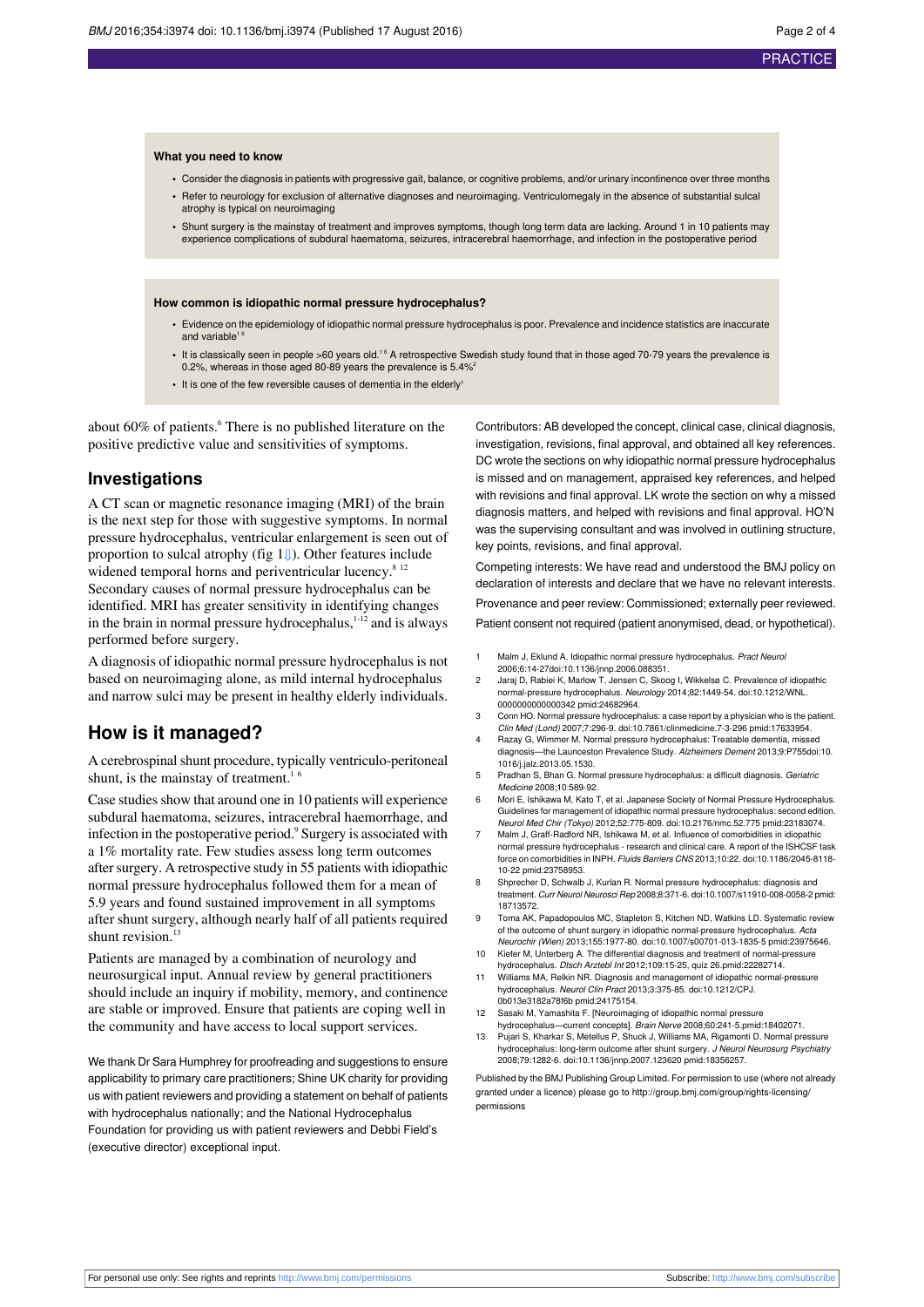#### **What you need to know**

- **•** Consider the diagnosis in patients with progressive gait, balance, or cognitive problems, and/or urinary incontinence over three months
- **•** Refer to neurology for exclusion of alternative diagnoses and neuroimaging. Ventriculomegaly in the absence of substantial sulcal atrophy is typical on neuroimaging
- **•** Shunt surgery is the mainstay of treatment and improves symptoms, though long term data are lacking. Around 1 in 10 patients may experience complications of subdural haematoma, seizures, intracerebral haemorrhage, and infection in the postoperative period

#### **How common is idiopathic normal pressure hydrocephalus?**

- **•** Evidence on the epidemiology of idiopathic normal pressure hydrocephalus is poor. Prevalence and incidence statistics are inaccurate and variable<sup>1</sup>
- It is classically seen in people >60 years old.<sup>16</sup> A retrospective Swedish study found that in those aged 70-79 years the prevalence is 0.2%, whereas in those aged 80-89 years the prevalence is 5.4%
- It is one of the few reversible causes of dementia in the elderly<sup>1</sup>

about  $60\%$  of patients.<sup>6</sup> There is no published literature on the positive predictive value and sensitivities of symptoms.

#### **Investigations**

A CT scan or magnetic resonance imaging (MRI) of the brain is the next step for those with suggestive symptoms. In normal pressure hydrocephalus, ventricular enlargement is seen out of proportion to sulcal atrophy (fig  $1 \downarrow$ ). Other features include widened temporal horns and periventricular lucency.<sup>8 12</sup> Secondary causes of normal pressure hydrocephalus can be identified. MRI has greater sensitivity in identifying changes in the brain in normal pressure hydrocephalus, $1-12$  and is always performed before surgery.

A diagnosis of idiopathic normal pressure hydrocephalus is not based on neuroimaging alone, as mild internal hydrocephalus and narrow sulci may be present in healthy elderly individuals.

### **How is it managed?**

A cerebrospinal shunt procedure, typically ventriculo-peritoneal shunt, is the mainstay of treatment.<sup>16</sup>

Case studies show that around one in 10 patients will experience subdural haematoma, seizures, intracerebral haemorrhage, and infection in the postoperative period.<sup>9</sup> Surgery is associated with a 1% mortality rate. Few studies assess long term outcomes after surgery. A retrospective study in 55 patients with idiopathic normal pressure hydrocephalus followed them for a mean of 5.9 years and found sustained improvement in all symptoms after shunt surgery, although nearly half of all patients required shunt revision.<sup>13</sup>

Patients are managed by a combination of neurology and neurosurgical input. Annual review by general practitioners should include an inquiry if mobility, memory, and continence are stable or improved. Ensure that patients are coping well in the community and have access to local support services.

We thank Dr Sara Humphrey for proofreading and suggestions to ensure applicability to primary care practitioners; Shine UK charity for providing us with patient reviewers and providing a statement on behalf of patients with hydrocephalus nationally; and the National Hydrocephalus Foundation for providing us with patient reviewers and Debbi Field's (executive director) exceptional input.

Contributors: AB developed the concept, clinical case, clinical diagnosis, investigation, revisions, final approval, and obtained all key references. DC wrote the sections on why idiopathic normal pressure hydrocephalus is missed and on management, appraised key references, and helped with revisions and final approval. LK wrote the section on why a missed diagnosis matters, and helped with revisions and final approval. HO'N was the supervising consultant and was involved in outlining structure, key points, revisions, and final approval.

Competing interests: We have read and understood the BMJ policy on declaration of interests and declare that we have no relevant interests. Provenance and peer review: Commissioned; externally peer reviewed.

Patient consent not required (patient anonymised, dead, or hypothetical).

- 1 Malm J, Eklund A. Idiopathic normal pressure hydrocephalus. Pract Neurol 2006;6:14-27[doi:10.1136/jnnp.2006.088351.](http://dx.doi.org/10.1136/jnnp.2006.088351)
- 2 Jaraj D, Rabiei K, Marlow T, Jensen C, Skoog I, Wikkelsø C. Prevalence of idiopathic normal-pressure hydrocephalus. Neurology 2014;82:1449-54. [doi:10.1212/WNL.](http://dx.doi.org/10.1212/WNL.0000000000000342) [0000000000000342](http://dx.doi.org/10.1212/WNL.0000000000000342) [pmid:24682964](http://www.ncbi.nlm.nih.gov/pubmed/?term=24682964).
- 3 Conn HO. Normal pressure hydrocephalus: a case report by a physician who is the patient. Clin Med (Lond) 2007;7:296-9. [doi:10.7861/clinmedicine.7-3-296](http://dx.doi.org/10.7861/clinmedicine.7-3-296) [pmid:17633954.](http://www.ncbi.nlm.nih.gov/pubmed/?term=17633954)
- Razay G, Wimmer M. Normal pressure hydrocephalus: Treatable dementia, missed diagnosis—the Launceston Prevalence Study. Alzheimers Dement 2013;9:P755[doi:10.](http://dx.doi.org/10.1016/j.jalz.2013.05.1530) [1016/j.jalz.2013.05.1530](http://dx.doi.org/10.1016/j.jalz.2013.05.1530).
- 5 Pradhan S, Bhan G. Normal pressure hydrocephalus: a difficult diagnosis. Geriatric Medicine 2008;10:589-92.
- 6 Mori E, Ishikawa M, Kato T, et al. Japanese Society of Normal Pressure Hydrocephalus. Guidelines for management of idiopathic normal pressure hydrocephalus: second edition. Neurol Med Chir (Tokyo) 2012;52:775-809. [doi:10.2176/nmc.52.775](http://dx.doi.org/10.2176/nmc.52.775) [pmid:23183074](http://www.ncbi.nlm.nih.gov/pubmed/?term=23183074).
- Malm J, Graff-Radford NR, Ishikawa M, et al. Influence of comorbidities in idiopathic normal pressure hydrocephalus - research and clinical care. A report of the ISHCSF task force on comorbidities in INPH. Fluids Barriers CNS 2013;10:22. [doi:10.1186/2045-8118-](http://dx.doi.org/10.1186/2045-8118-10-22) [10-22](http://dx.doi.org/10.1186/2045-8118-10-22) [pmid:23758953.](http://www.ncbi.nlm.nih.gov/pubmed/?term=23758953)
- 8 Shprecher D, Schwalb J, Kurlan R. Normal pressure hydrocephalus: diagnosis and treatment. Curr Neurol Neurosci Rep 2008;8:371-6. [doi:10.1007/s11910-008-0058-2](http://dx.doi.org/10.1007/s11910-008-0058-2) [pmid:](http://www.ncbi.nlm.nih.gov/pubmed/?term=18713572) [18713572.](http://www.ncbi.nlm.nih.gov/pubmed/?term=18713572)
- 9 Toma AK, Papadopoulos MC, Stapleton S, Kitchen ND, Watkins LD. Systematic review of the outcome of shunt surgery in idiopathic normal-pressure hydrocephalus. Acta Neurochir (Wien) 2013;155:1977-80. [doi:10.1007/s00701-013-1835-5](http://dx.doi.org/10.1007/s00701-013-1835-5) [pmid:23975646](http://www.ncbi.nlm.nih.gov/pubmed/?term=23975646).
- Kiefer M, Unterberg A. The differential diagnosis and treatment of normal-pressure hydrocephalus. Dtsch Arztebl Int 2012;109:15-25, quiz 26.[pmid:22282714](http://www.ncbi.nlm.nih.gov/pubmed/?term=22282714).
- 11 Williams MA, Relkin NR. Diagnosis and management of idiopathic normal-pressure hydrocephalus. Neurol Clin Pract 2013;3:375-85. [doi:10.1212/CPJ.](http://dx.doi.org/10.1212/CPJ.0b013e3182a78f6b) [0b013e3182a78f6b](http://dx.doi.org/10.1212/CPJ.0b013e3182a78f6b) [pmid:24175154.](http://www.ncbi.nlm.nih.gov/pubmed/?term=24175154)
- 12 Sasaki M, Yamashita F. [Neuroimaging of idiopathic normal pressure hydrocephalus—current concepts]. Brain Nerve 2008;60:241-5[.pmid:18402071](http://www.ncbi.nlm.nih.gov/pubmed/?term=18402071).
- 13 Pujari S, Kharkar S, Metellus P, Shuck J, Williams MA, Rigamonti D. Normal pressure hydrocephalus: long-term outcome after shunt surgery. J Neurol Neurosurg Psychiatry 2008;79:1282-6. [doi:10.1136/jnnp.2007.123620](http://dx.doi.org/10.1136/jnnp.2007.123620) [pmid:18356257.](http://www.ncbi.nlm.nih.gov/pubmed/?term=18356257)

Published by the BMJ Publishing Group Limited. For permission to use (where not already granted under a licence) please go to [http://group.bmj.com/group/rights-licensing/](http://group.bmj.com/group/rights-licensing/permissions) [permissions](http://group.bmj.com/group/rights-licensing/permissions)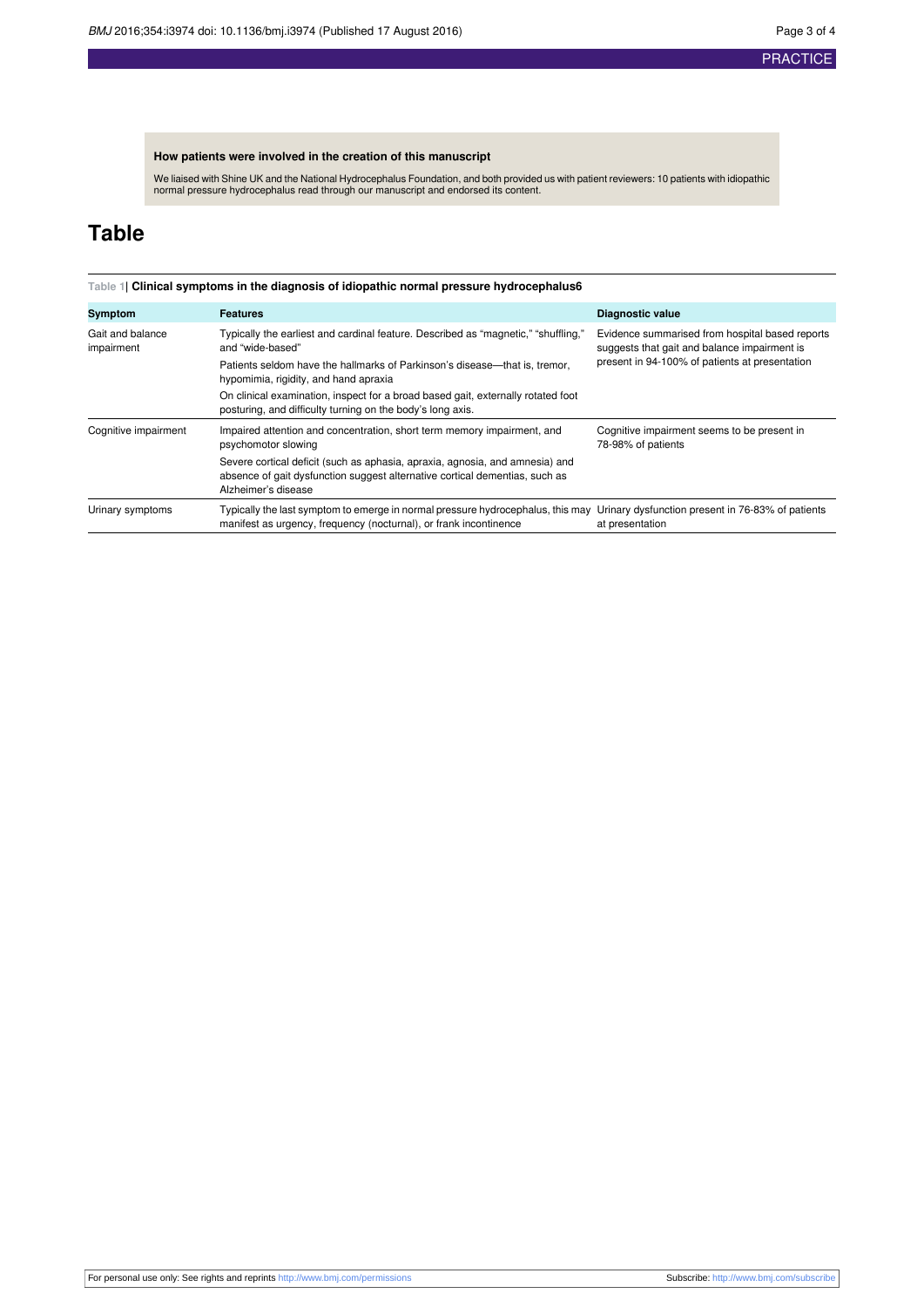## **How patients were involved in the creation of this manuscript**

We liaised with Shine UK and the National Hydrocephalus Foundation, and both provided us with patient reviewers: 10 patients with idiopathic normal pressure hydrocephalus read through our manuscript and endorsed its content.

## <span id="page-2-0"></span>**Table**

#### **Table 1| Clinical symptoms in the diagnosis of idiopathic normal pressure hydrocephalus6**

| Symptom                        | <b>Features</b>                                                                                                                                                                                        | <b>Diagnostic value</b>                                                                                                                           |
|--------------------------------|--------------------------------------------------------------------------------------------------------------------------------------------------------------------------------------------------------|---------------------------------------------------------------------------------------------------------------------------------------------------|
| Gait and balance<br>impairment | Typically the earliest and cardinal feature. Described as "magnetic," "shuffling,"<br>and "wide-based"<br>Patients seldom have the hallmarks of Parkinson's disease—that is, tremor,                   | Evidence summarised from hospital based reports<br>suggests that gait and balance impairment is<br>present in 94-100% of patients at presentation |
|                                | hypomimia, rigidity, and hand apraxia                                                                                                                                                                  |                                                                                                                                                   |
|                                | On clinical examination, inspect for a broad based gait, externally rotated foot<br>posturing, and difficulty turning on the body's long axis.                                                         |                                                                                                                                                   |
| Cognitive impairment           | Impaired attention and concentration, short term memory impairment, and<br>psychomotor slowing                                                                                                         | Cognitive impairment seems to be present in<br>78-98% of patients                                                                                 |
|                                | Severe cortical deficit (such as aphasia, apraxia, agnosia, and amnesia) and<br>absence of gait dysfunction suggest alternative cortical dementias, such as<br>Alzheimer's disease                     |                                                                                                                                                   |
| Urinary symptoms               | Typically the last symptom to emerge in normal pressure hydrocephalus, this may Urinary dysfunction present in 76-83% of patients<br>manifest as urgency, frequency (nocturnal), or frank incontinence | at presentation                                                                                                                                   |